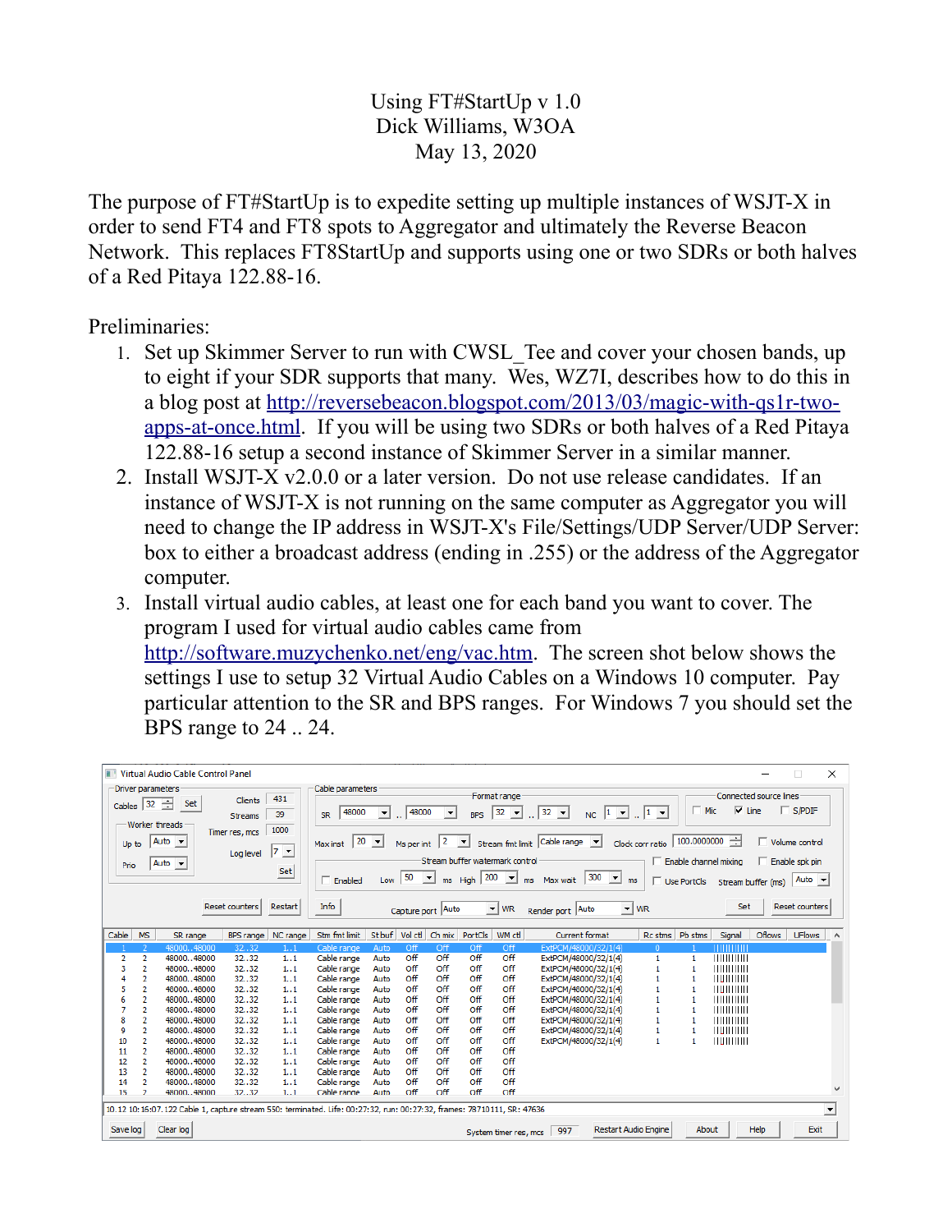Using FT#StartUp v 1.0 Dick Williams, W3OA May 13, 2020

The purpose of FT#StartUp is to expedite setting up multiple instances of WSJT-X in order to send FT4 and FT8 spots to Aggregator and ultimately the Reverse Beacon Network. This replaces FT8StartUp and supports using one or two SDRs or both halves of a Red Pitaya 122.88-16.

Preliminaries:

- 1. Set up Skimmer Server to run with CWSL\_Tee and cover your chosen bands, up to eight if your SDR supports that many. Wes, WZ7I, describes how to do this in a blog post at [http://reversebeacon.blogspot.com/2013/03/magic-with-qs1r-two](http://reversebeacon.blogspot.com/2013/03/magic-with-qs1r-two-apps-at-once.html)[apps-at-once.html.](http://reversebeacon.blogspot.com/2013/03/magic-with-qs1r-two-apps-at-once.html) If you will be using two SDRs or both halves of a Red Pitaya 122.88-16 setup a second instance of Skimmer Server in a similar manner.
- 2. Install WSJT-X v2.0.0 or a later version. Do not use release candidates. If an instance of WSJT-X is not running on the same computer as Aggregator you will need to change the IP address in WSJT-X's File/Settings/UDP Server/UDP Server: box to either a broadcast address (ending in .255) or the address of the Aggregator computer.
- 3. Install virtual audio cables, at least one for each band you want to cover. The program I used for virtual audio cables came from [http://software.muzychenko.net/eng/vac.htm.](http://software.muzychenko.net/eng/vac.htm) The screen shot below shows the settings I use to setup 32 Virtual Audio Cables on a Windows 10 computer. Pay particular attention to the SR and BPS ranges. For Windows 7 you should set the BPS range to 24 .. 24.

|          | Virtual Audio Cable Control Panel<br>$\Box$ |                               |                |                    |                                                                                                                        |                                                                                                                                                                                  |                 |                 |                 |                       |     |                             |              |         | $\times$      |                        |                           |  |  |  |
|----------|---------------------------------------------|-------------------------------|----------------|--------------------|------------------------------------------------------------------------------------------------------------------------|----------------------------------------------------------------------------------------------------------------------------------------------------------------------------------|-----------------|-----------------|-----------------|-----------------------|-----|-----------------------------|--------------|---------|---------------|------------------------|---------------------------|--|--|--|
|          |                                             | Driver parameters             |                |                    | Cable parameters                                                                                                       |                                                                                                                                                                                  |                 |                 |                 |                       |     |                             |              |         |               |                        |                           |  |  |  |
|          |                                             | <b>Set</b>                    | <b>Clients</b> | 431                |                                                                                                                        |                                                                                                                                                                                  |                 |                 | Format range    |                       |     |                             |              |         |               | Connected source lines |                           |  |  |  |
| Cables   | 32                                          | 쉬                             |                | 39                 |                                                                                                                        | $\nabla$ Line<br>$\Box$ S/PDIF<br>$\Box$ Mic<br>$32 - 1$<br>$ 32 - \mathbf{v} $<br>48000<br>$\overline{\phantom{a}}$<br>48000<br><b>RPS</b><br>$\blacktriangledown$<br><b>SR</b> |                 |                 |                 |                       |     |                             |              |         |               |                        |                           |  |  |  |
|          |                                             | Worker threads                | <b>Streams</b> |                    |                                                                                                                        |                                                                                                                                                                                  |                 |                 |                 |                       |     |                             |              |         |               |                        |                           |  |  |  |
|          |                                             |                               | Timer res. mcs | 1000               |                                                                                                                        |                                                                                                                                                                                  |                 |                 |                 |                       |     |                             |              |         |               |                        |                           |  |  |  |
|          | Up to                                       | Auto $\blacktriangleright$    |                |                    | Max inst                                                                                                               | 100.0000000<br>÷<br>20<br>Ms per int $\begin{vmatrix} 2 & \bullet \end{vmatrix}$<br>Stream fmt limit Cable range<br>╶┥<br>$\Box$ Volume control<br>Clock corr ratio              |                 |                 |                 |                       |     |                             |              |         |               |                        |                           |  |  |  |
|          |                                             |                               | Log level      | $7 -$              | Stream buffer watermark control<br>Enable channel mixing                                                               |                                                                                                                                                                                  |                 |                 |                 |                       |     |                             |              |         |               |                        |                           |  |  |  |
|          | Prio                                        | Auto $\left  \bullet \right $ |                |                    |                                                                                                                        |                                                                                                                                                                                  |                 |                 |                 |                       |     |                             |              |         |               | $\Box$ Enable spk pin  |                           |  |  |  |
|          |                                             |                               |                | Set                | $\Box$ Enabled                                                                                                         | 50<br>ms High $200 - 7$<br>Max wait 300<br>$\vert \cdot \vert$<br>$\vert \cdot \vert$<br>Low<br>ms<br>ms<br>$\Box$ Use PortCls<br>Stream buffer (ms)                             |                 |                 |                 |                       |     |                             |              |         |               |                        | Auto $\blacktriangledown$ |  |  |  |
|          |                                             |                               |                |                    |                                                                                                                        |                                                                                                                                                                                  |                 |                 |                 |                       |     |                             |              |         |               |                        |                           |  |  |  |
|          |                                             |                               |                |                    |                                                                                                                        |                                                                                                                                                                                  |                 |                 |                 |                       |     |                             |              |         |               |                        |                           |  |  |  |
|          |                                             |                               | Reset counters | Restart            |                                                                                                                        | Info<br>Set<br>$\mathbf{v}$ WR<br>$\blacktriangleright$ WR<br>Capture port Auto<br>Render port Auto                                                                              |                 |                 |                 |                       |     |                             |              |         |               |                        | <b>Reset counters</b>     |  |  |  |
|          |                                             |                               |                |                    |                                                                                                                        |                                                                                                                                                                                  |                 |                 |                 |                       |     |                             |              |         |               |                        |                           |  |  |  |
| Cable    | <b>MS</b>                                   | SR range                      |                | BPS range NC range | Stm fmt limit                                                                                                          | St buf                                                                                                                                                                           | Vol ctl         | Ch mix          | PortCls         | WM ctl                |     | Current format              | Rc stms      | Pb stms | Signal        | Oflows                 | <b>UFlows</b>             |  |  |  |
|          | $\overline{2}$                              | 4800048000                    | 32.32          | 11                 | Cable range                                                                                                            | Auto                                                                                                                                                                             | Off             | Off             | Off             | <b>Off</b>            |     | ExtPCM/48000/32/1(4)        | $\circ$      |         | ШШШ           |                        |                           |  |  |  |
| 2        | $\overline{2}$                              | 4800048000                    | 3232           | 11                 | Cable range                                                                                                            | Auto                                                                                                                                                                             | <b>Off</b>      | Off             | Off             | Off                   |     | ExtPCM/48000/32/1(4)        | $\mathbf{1}$ | 1       | 111111111111  |                        |                           |  |  |  |
| 3        | $\overline{2}$                              | 4800048000                    | 3232           | 11                 | Cable range                                                                                                            | Auto                                                                                                                                                                             | Off             | Off             | Off             | Off                   |     | ExtPCM/48000/32/1(4)        | 1            | 1       | 1111111111111 |                        |                           |  |  |  |
| 4        | $\overline{2}$                              | 4800048000                    | 32.32          | 11                 | Cable range                                                                                                            | Auto                                                                                                                                                                             | Off             | Off             | Off             | Off                   |     | ExtPCM/48000/32/1(4)        |              | 1       | 111111111111  |                        |                           |  |  |  |
| 5        | $\overline{2}$                              | 4800048000                    | 32.32          | 11                 | Cable range                                                                                                            | Auto                                                                                                                                                                             | Off             | Off             | Off             | Off                   |     | ExtPCM/48000/32/1(4)        |              | 1       | 11111111111   |                        |                           |  |  |  |
| 6        | $\overline{2}$                              | 4800048000                    | 3232           | 11                 | Cable range                                                                                                            | Auto                                                                                                                                                                             | Off             | Off             | Off             | Off                   |     | ExtPCM/48000/32/1(4)        |              | 1       | 111111111111  |                        |                           |  |  |  |
| 7        | $\overline{2}$                              | 4800048000                    | 32.32          | 11                 | Cable range                                                                                                            | Auto                                                                                                                                                                             | Off             | Off             | Off             | Off                   |     | ExtPCM/48000/32/1(4)        |              | 1       | 1111111111111 |                        |                           |  |  |  |
| 8        | $\overline{2}$                              | 4800048000                    | 3232           | 11                 | Cable range                                                                                                            | Auto                                                                                                                                                                             | Off             | Off             | Off             | Off                   |     | ExtPCM/48000/32/1(4)        |              | 1       | 111111111111  |                        |                           |  |  |  |
| 9        | $\overline{2}$                              | 4800048000                    | 3232           | 11                 | Cable range                                                                                                            | Auto                                                                                                                                                                             | Off             | Off             | Off             | Off                   |     | ExtPCM/48000/32/1(4)        |              | 1       |               |                        |                           |  |  |  |
| 10       | 2                                           | 4800048000                    | 32.32          | 11                 | Cable range                                                                                                            | Auto                                                                                                                                                                             | Off             | Off             | Off             | Off                   |     | ExtPCM/48000/32/1(4)        | 1            | 1       | 111111111111  |                        |                           |  |  |  |
| 11       | $\overline{2}$                              | 4800048000                    | 32.32          | 11                 | Cable range                                                                                                            | Auto                                                                                                                                                                             | Off             | Off             | Off             | Off                   |     |                             |              |         |               |                        |                           |  |  |  |
| 12       | $\overline{2}$                              | 4800048000                    | 3232           | 11                 | Cable range                                                                                                            | Auto                                                                                                                                                                             | Off             | Off             | Off             | Off                   |     |                             |              |         |               |                        |                           |  |  |  |
| 13       | $\overline{2}$                              | 4800048000                    | 32.32          | 11                 | Cable range                                                                                                            | Auto                                                                                                                                                                             | Off             | Off             | Off             | Off                   |     |                             |              |         |               |                        |                           |  |  |  |
| 14       | $\overline{2}$                              | 4800048000                    | 3232           | 11                 | Cable range                                                                                                            | Auto                                                                                                                                                                             | Off             | Off             | Off             | Off                   |     |                             |              |         |               |                        |                           |  |  |  |
| 15       | $\overline{2}$                              | 4800048000                    | 32.32          | 11                 | Cable range                                                                                                            | Auto                                                                                                                                                                             | O <sup>ff</sup> | O <sup>ff</sup> | O <sup>ff</sup> | O <sup>ff</sup>       |     |                             |              |         |               |                        |                           |  |  |  |
|          |                                             |                               |                |                    | 10.12 10:16:07.122 Cable 1, capture stream 550: terminated. Life: 00:27:32, run: 00:27:32, frames: 78710111, SR: 47636 |                                                                                                                                                                                  |                 |                 |                 |                       |     |                             |              |         |               |                        | $\overline{\phantom{a}}$  |  |  |  |
|          |                                             |                               |                |                    |                                                                                                                        |                                                                                                                                                                                  |                 |                 |                 |                       |     |                             |              |         |               |                        |                           |  |  |  |
| Save log |                                             | Clear log                     |                |                    |                                                                                                                        |                                                                                                                                                                                  |                 |                 |                 | System timer res, mcs | 997 | <b>Restart Audio Engine</b> |              | About   |               | Help                   | Exit                      |  |  |  |
|          |                                             |                               |                |                    |                                                                                                                        |                                                                                                                                                                                  |                 |                 |                 |                       |     |                             |              |         |               |                        |                           |  |  |  |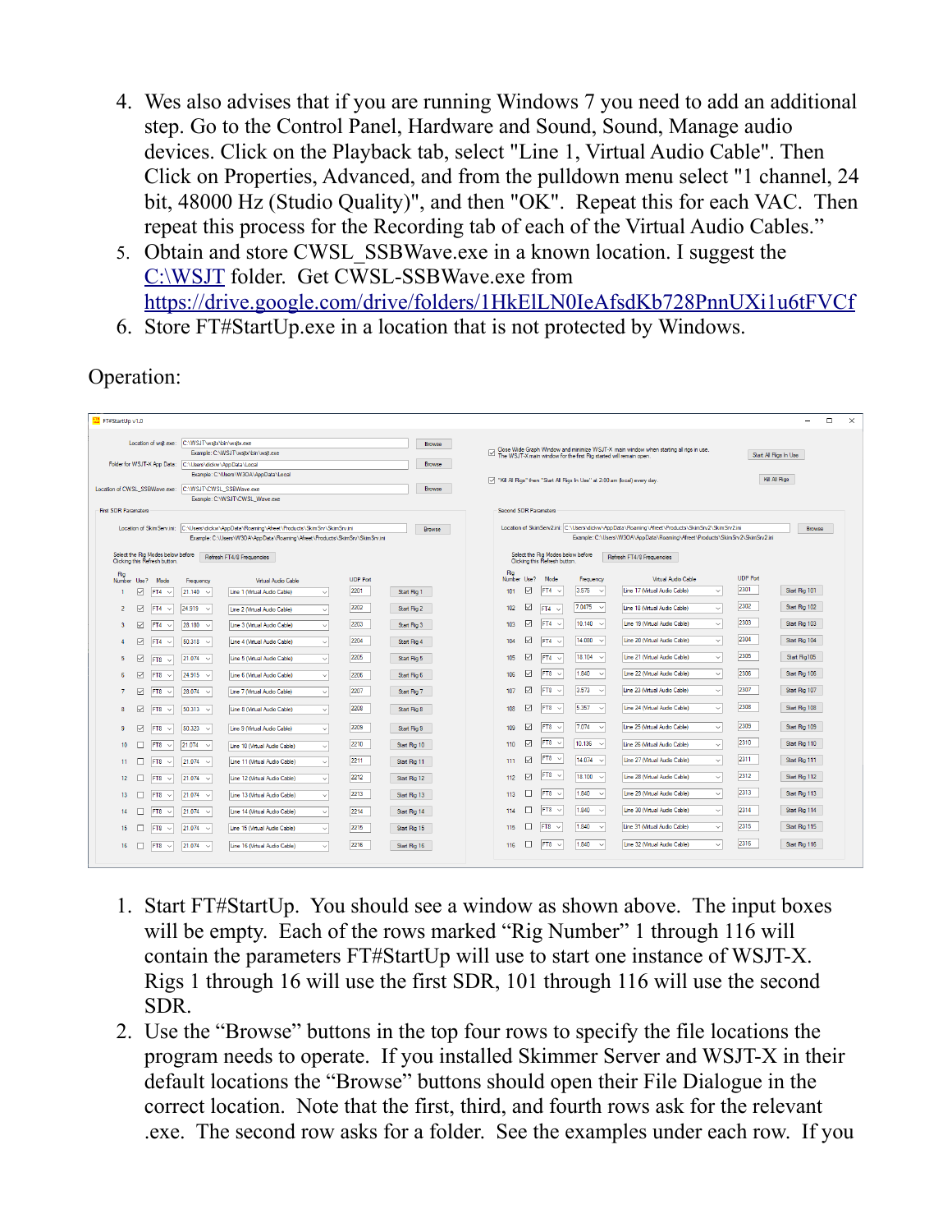- 4. Wes also advises that if you are running Windows 7 you need to add an additional step. Go to the Control Panel, Hardware and Sound, Sound, Manage audio devices. Click on the Playback tab, select "Line 1, Virtual Audio Cable". Then Click on Properties, Advanced, and from the pulldown menu select "1 channel, 24 bit, 48000 Hz (Studio Quality)", and then "OK". Repeat this for each VAC. Then repeat this process for the Recording tab of each of the Virtual Audio Cables."
- 5. Obtain and store CWSL\_SSBWave.exe in a known location. I suggest the [C:\WSJT](file:///WSJT) folder. Get CWSL-SSBWave.exe from <https://drive.google.com/drive/folders/1HkElLN0IeAfsdKb728PnnUXi1u6tFVCf>
- 6. Store FT#StartUp.exe in a location that is not protected by Windows.

| FT* FT#StartUp v1.0         |                              |                                   |                                                                                              |                      |               |                                                                                                                                                                                                        |                                                                   |                                                                              |                                                                                                 |                      | $\Box$<br>$\overline{\phantom{a}}$ |  |  |  |  |  |
|-----------------------------|------------------------------|-----------------------------------|----------------------------------------------------------------------------------------------|----------------------|---------------|--------------------------------------------------------------------------------------------------------------------------------------------------------------------------------------------------------|-------------------------------------------------------------------|------------------------------------------------------------------------------|-------------------------------------------------------------------------------------------------|----------------------|------------------------------------|--|--|--|--|--|
|                             |                              |                                   |                                                                                              |                      |               |                                                                                                                                                                                                        |                                                                   |                                                                              |                                                                                                 |                      |                                    |  |  |  |  |  |
|                             |                              |                                   | Location of wsit.exe: C:\WSJT\wsitx\bin\wsitx.exe<br>Example: C:\WSJT\wsitx\bin\wsit.exe     |                      |               | Browse<br>Close Wide Graph Window and minimize WSJT-X main window when starting all rigs in use. $\boxdot$ The WSJT-X main window for the first Rig started will remain open.<br>Start All Rigs In Use |                                                                   |                                                                              |                                                                                                 |                      |                                    |  |  |  |  |  |
|                             |                              |                                   | Folder for WSJT-X App Data: C:\Users\dickw\AppData\Local                                     |                      | Browse        |                                                                                                                                                                                                        |                                                                   |                                                                              |                                                                                                 |                      |                                    |  |  |  |  |  |
|                             |                              |                                   | Example: C:\Users\W3OA\AppData\Local                                                         |                      |               |                                                                                                                                                                                                        |                                                                   | W "Kill All Rigs" then "Start All Rigs In Use" at 2:00 am (local) every day. |                                                                                                 |                      | Kill All Rigs                      |  |  |  |  |  |
|                             |                              |                                   | Location of CWSL_SSBWave.exe: C:\WSJT\CWSL_SSBWave.exe                                       |                      | <b>Browse</b> |                                                                                                                                                                                                        |                                                                   |                                                                              |                                                                                                 |                      |                                    |  |  |  |  |  |
|                             |                              |                                   | Example: C:\WSJT\CWSL_Wave.exe                                                               |                      |               |                                                                                                                                                                                                        |                                                                   |                                                                              |                                                                                                 |                      |                                    |  |  |  |  |  |
| <b>First SDR Paramaters</b> |                              |                                   |                                                                                              |                      |               |                                                                                                                                                                                                        | <b>Second SDR Parameters</b>                                      |                                                                              |                                                                                                 |                      |                                    |  |  |  |  |  |
|                             |                              |                                   | Location of SkimServ.ini: C:\Users\dickw\AppData\Roaming\Afreet\Products\SkimSrv\SkimSrv.ini |                      | Browse        |                                                                                                                                                                                                        |                                                                   |                                                                              | Location of SkimServ2.ini: C:\Users\dickw\AppData\Roaming\Afreet\Products\SkimSrv2\SkimSrv2.ini |                      | Browse                             |  |  |  |  |  |
|                             |                              |                                   | Example: C:\Users\W3OA\AppData\Roaming\Afreet\Products\SkimSrv\SkimSrv.ini                   |                      |               |                                                                                                                                                                                                        |                                                                   |                                                                              | Example: C:\Users\W3OA\AppData\Roaming\Afreet\Products\SkimSrv2\SkimSrv2.ini                    |                      |                                    |  |  |  |  |  |
|                             | Clicking this Refresh button | Select the Rig Modes below before | Refresh FT4/8 Frequencies                                                                    |                      |               |                                                                                                                                                                                                        | Select the Rig Modes below before<br>Clicking this Refresh button |                                                                              | Refresh FT4/8 Frequencies                                                                       |                      |                                    |  |  |  |  |  |
| Ria<br>Number               | Use?<br>Mode                 | Frequency                         | Virtual Audio Cable                                                                          | <b>UDP Port</b>      |               | Rig<br>Number Use?                                                                                                                                                                                     | Mode                                                              | Frequency                                                                    | Virtual Audio Cable                                                                             | <b>UDP Port</b>      |                                    |  |  |  |  |  |
|                             | ☑<br>FT4                     | 21.140<br>$\sim$                  | Line 1 (Virtual Audio Cable)                                                                 | 2201<br>$\checkmark$ | Start Rig 1   | 101                                                                                                                                                                                                    | ☑<br>$FT4 \sim$                                                   | 3.575<br>$\sim$                                                              | Line 17 (Virtual Audio Cable)                                                                   | 2301<br>$\checkmark$ | Start Rig 101                      |  |  |  |  |  |
| $\overline{2}$              | ☑<br>FT4                     | 24.919<br>$\sim$                  | Line 2 (Virtual Audio Cable)                                                                 | 2202<br>$\checkmark$ | Start Rig 2   | 102                                                                                                                                                                                                    | ☑<br>FT4<br>$\sim$                                                | $7.0475 -$                                                                   | Line 18 (Virtual Audio Cable)                                                                   | 2302<br>$\checkmark$ | Start Rig 102                      |  |  |  |  |  |
| $\overline{\mathbf{3}}$     | ☑<br>FT4                     | 28.180                            | Line 3 (Virtual Audio Cable)                                                                 | 2203<br>$\checkmark$ | Start Rig 3   | 103                                                                                                                                                                                                    | ☑<br>$FT4 \sim$                                                   | $10.140 \sim$                                                                | Line 19 (Virtual Audio Cable)                                                                   | 2303<br>$\checkmark$ | Start Rig 103                      |  |  |  |  |  |
| $\Delta$                    | ☑<br>FT4                     | 50.318<br>$\sim$                  | Line 4 (Virtual Audio Cable)                                                                 | 2204<br>$\checkmark$ | Start Rig 4   | 104                                                                                                                                                                                                    | ☑<br>$FT4 \sim$                                                   | 14.080<br>$\sim$                                                             | Line 20 Mitual Audio Cable)                                                                     | 2304<br>$\checkmark$ | Start Rig 104                      |  |  |  |  |  |
| 5                           | ☑<br>FT8                     | $21.074 -$                        | Line 5 (Virtual Audio Cable)                                                                 | 2205<br>$\checkmark$ | Start Rig 5   | 105                                                                                                                                                                                                    | ☑<br>$FT4~\vee$                                                   | $18.104 -$                                                                   | Line 21 (Virtual Audio Cable)                                                                   | 2305<br>$\checkmark$ | Start Rig105                       |  |  |  |  |  |
| 6                           | ☑<br>FT <sub>8</sub>         | 24.915                            | Line 6 (Virtual Audio Cable)<br>$\sim$                                                       | 2206<br>$\checkmark$ | Start Rig 6   | 106                                                                                                                                                                                                    | ☑<br>FT <sub>8</sub><br>$\sim$                                    | 1.840<br>$\sim$                                                              | Line 22 (Virtual Audio Cable)                                                                   | 2306<br>$\checkmark$ | Start Rig 106                      |  |  |  |  |  |
|                             | ☑<br>FT <sub>8</sub>         | 28.074                            | Line 7 (Virtual Audio Cable)                                                                 | 2207<br>$\checkmark$ | Start Rig 7   | 107                                                                                                                                                                                                    | ☑<br>FT8<br>$\sim$                                                | 3.573<br>$\sim$                                                              | Line 23 Mitual Audio Cable)                                                                     | 2307<br>$\checkmark$ | Start Rig 107                      |  |  |  |  |  |
| $\mathbf{R}$                | ☑<br>FT <sub>8</sub>         | 50.313                            | Line 8 (Virtual Audio Cable)                                                                 | 2208<br>$\checkmark$ | Start Rig 8   | 108                                                                                                                                                                                                    | ☑<br>FT <sub>8</sub><br>$\sim$                                    | 5.357<br>$\sim$                                                              | Line 24 (Virtual Audio Cable)                                                                   | 2308<br>$\checkmark$ | Start Rig 108                      |  |  |  |  |  |
| 9                           | ☑<br>FT8                     | 50.323                            | Line 9 (Virtual Audio Cable)                                                                 | 2209<br>$\checkmark$ | Start Rig 9   | 109                                                                                                                                                                                                    | ☑<br>$FT8 ~\vee$                                                  | 7.074<br>$\sim$                                                              | Line 25 (Virtual Audio Cable)                                                                   | 2309<br>$\checkmark$ | Start Rig 109                      |  |  |  |  |  |
| 10                          | FT <sub>8</sub>              | $21.074 - \circ$                  | Line 10 (Virtual Audio Cable)                                                                | 2210<br>$\checkmark$ | Start Rig 10  | 110                                                                                                                                                                                                    | $FT8 ~\sim$<br>☑                                                  | 10.136<br>$\sim$                                                             | Line 26 Mitual Audio Cable)                                                                     | 2310<br>$\checkmark$ | Start Rig 110                      |  |  |  |  |  |
| 11                          | FT8                          | $21.074 - \circ$<br>$\checkmark$  | Line 11 (Virtual Audio Cable)                                                                | 2211<br>$\checkmark$ | Start Rig 11  | 111                                                                                                                                                                                                    | $FT8 ~\vee$<br>☑                                                  | $14.074 \sim$                                                                | Line 27 Mitual Audio Cable)                                                                     | 2311<br>$\checkmark$ | Start Rig 111                      |  |  |  |  |  |
| 12                          | FT <sub>8</sub>              | 21.074<br>$\sim$                  | Line 12 (Virtual Audio Cable)                                                                | 2212<br>$\checkmark$ | Start Rig 12  | 112                                                                                                                                                                                                    | FT8<br>☑<br>$\sim$                                                | $18.100 \sim$                                                                | Line 28 (Virtual Audio Cable)                                                                   | 2312<br>$\checkmark$ | Start Rig 112                      |  |  |  |  |  |
| 13                          | FT8                          | $21.074 - \circ$                  | Line 13 (Virtual Audio Cable)                                                                | 2213<br>$\checkmark$ | Start Rig 13  | 113                                                                                                                                                                                                    | FT <sub>8</sub><br>п<br>$\sim$                                    | 1.840<br>$\sim$                                                              | Line 29 (Virtual Audio Cable)                                                                   | 2313<br>$\checkmark$ | Start Rig 113                      |  |  |  |  |  |
| 14                          | FT <sub>8</sub>              | $ 21.074 \sim$<br>$\sim$          | Line 14 (Virtual Audio Cable)                                                                | 2214<br>$\checkmark$ | Start Rig 14  | 114                                                                                                                                                                                                    | $FT8~\sim$<br>L                                                   | 1.840<br>$\sim$                                                              | Line 30 Mitual Audio Cable)                                                                     | 2314<br>$\checkmark$ | Start Rig 114                      |  |  |  |  |  |
| 15                          | FT8                          | 21.074                            | Line 15 (Virtual Audio Cable)                                                                | 2215<br>$\checkmark$ | Start Rig 15  | 115                                                                                                                                                                                                    | FT <sub>8</sub><br>$\sim$                                         | 1.840<br>$\sim$                                                              | Line 31 Mitual Audio Cable)                                                                     | 2315<br>$\checkmark$ | Start Rig 115                      |  |  |  |  |  |
| 16 <sup>°</sup>             | FT <sub>8</sub>              | $21.074 -$<br>$\checkmark$        | Line 16 (Virtual Audio Cable)                                                                | 2216<br>$\checkmark$ | Start Rig 16  | 116                                                                                                                                                                                                    | FT <sub>8</sub><br>ப<br>$\sim$                                    | 1.840<br>$\sim$                                                              | Line 32 Mitual Audio Cable)                                                                     | 2316<br>$\sim$       | Start Rig 116                      |  |  |  |  |  |

Operation:

- 1. Start FT#StartUp. You should see a window as shown above. The input boxes will be empty. Each of the rows marked "Rig Number" 1 through 116 will contain the parameters FT#StartUp will use to start one instance of WSJT-X. Rigs 1 through 16 will use the first SDR, 101 through 116 will use the second SDR.
- 2. Use the "Browse" buttons in the top four rows to specify the file locations the program needs to operate. If you installed Skimmer Server and WSJT-X in their default locations the "Browse" buttons should open their File Dialogue in the correct location. Note that the first, third, and fourth rows ask for the relevant .exe. The second row asks for a folder. See the examples under each row. If you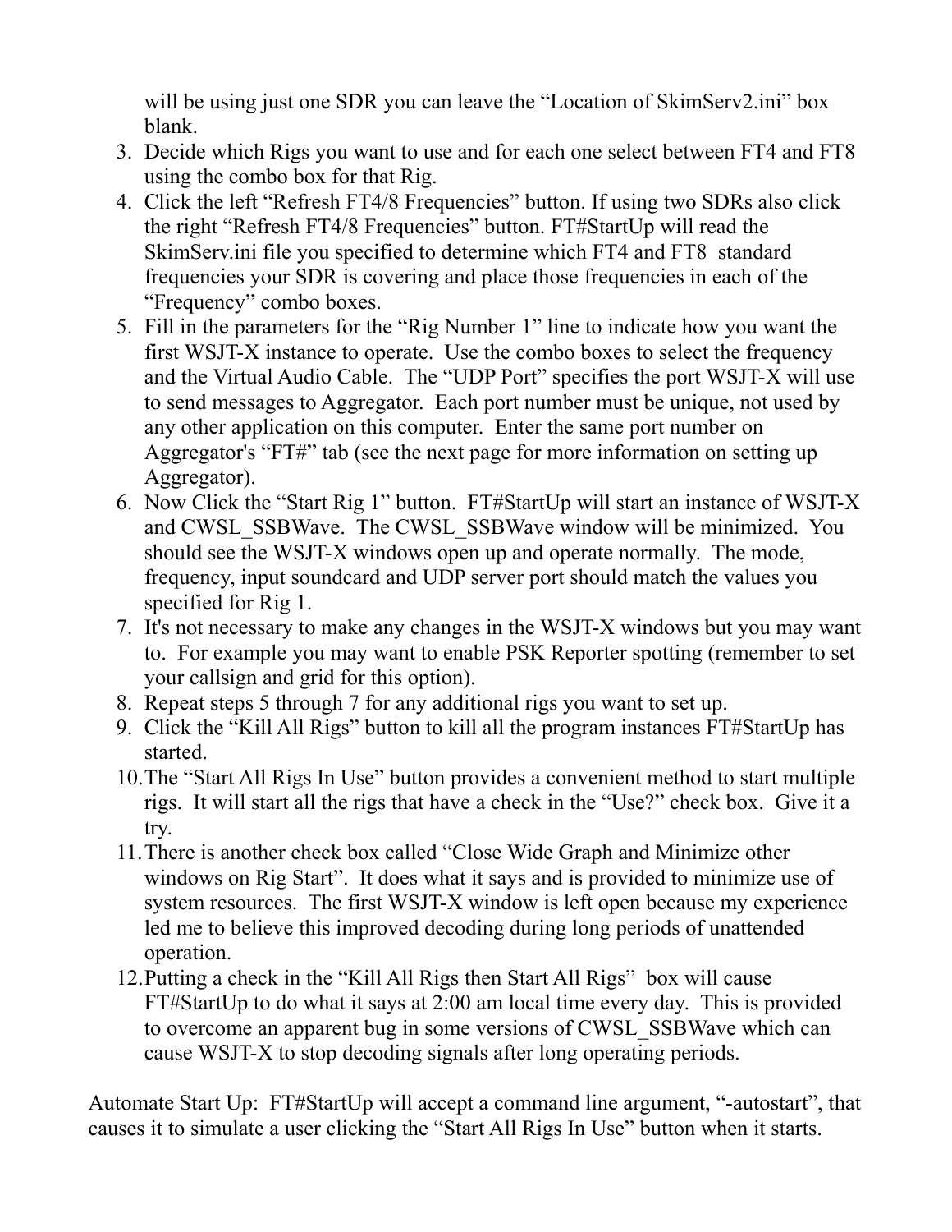will be using just one SDR you can leave the "Location of SkimServ2.ini" box blank.

- 3. Decide which Rigs you want to use and for each one select between FT4 and FT8 using the combo box for that Rig.
- 4. Click the left "Refresh FT4/8 Frequencies" button. If using two SDRs also click the right "Refresh FT4/8 Frequencies" button. FT#StartUp will read the SkimServ.ini file you specified to determine which FT4 and FT8 standard frequencies your SDR is covering and place those frequencies in each of the "Frequency" combo boxes.
- 5. Fill in the parameters for the "Rig Number 1" line to indicate how you want the first WSJT-X instance to operate. Use the combo boxes to select the frequency and the Virtual Audio Cable. The "UDP Port" specifies the port WSJT-X will use to send messages to Aggregator. Each port number must be unique, not used by any other application on this computer. Enter the same port number on Aggregator's "FT#" tab (see the next page for more information on setting up Aggregator).
- 6. Now Click the "Start Rig 1" button. FT#StartUp will start an instance of WSJT-X and CWSL\_SSBWave. The CWSL\_SSBWave window will be minimized. You should see the WSJT-X windows open up and operate normally. The mode, frequency, input soundcard and UDP server port should match the values you specified for Rig 1.
- 7. It's not necessary to make any changes in the WSJT-X windows but you may want to. For example you may want to enable PSK Reporter spotting (remember to set your callsign and grid for this option).
- 8. Repeat steps 5 through 7 for any additional rigs you want to set up.
- 9. Click the "Kill All Rigs" button to kill all the program instances FT#StartUp has started.
- 10.The "Start All Rigs In Use" button provides a convenient method to start multiple rigs. It will start all the rigs that have a check in the "Use?" check box. Give it a try.
- 11.There is another check box called "Close Wide Graph and Minimize other windows on Rig Start". It does what it says and is provided to minimize use of system resources. The first WSJT-X window is left open because my experience led me to believe this improved decoding during long periods of unattended operation.
- 12.Putting a check in the "Kill All Rigs then Start All Rigs" box will cause FT#StartUp to do what it says at 2:00 am local time every day. This is provided to overcome an apparent bug in some versions of CWSL\_SSBWave which can cause WSJT-X to stop decoding signals after long operating periods.

Automate Start Up: FT#StartUp will accept a command line argument, "-autostart", that causes it to simulate a user clicking the "Start All Rigs In Use" button when it starts.